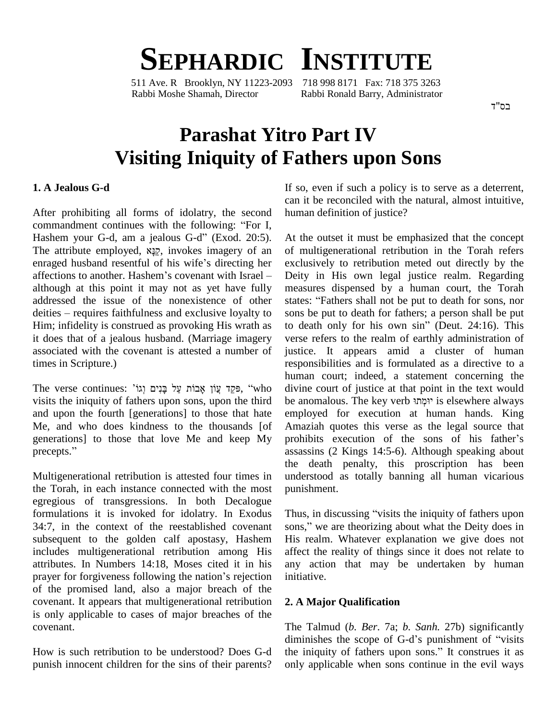# **SEPHARDIC INSTITUTE**

511 Ave. R Brooklyn, NY 11223-2093 718 998 8171 Fax: 718 375 3263 Rabbi Moshe Shamah, Director Rabbi Ronald Barry, Administrator

בס"ד

## **Parashat Yitro Part IV Visiting Iniquity of Fathers upon Sons**

#### **1. A Jealous G-d**

After prohibiting all forms of idolatry, the second commandment continues with the following: "For I,<br>commandment continues with the following: "For I, After prohibiting all forms of idolatry, the second humandment continues with the following: "For I, Hashem your G-d, am a jealous G-d" (Exod. 20:5). A commandment continues with the following: "For I,<br>Hashem your G-d, am a jealous G-d" (Exod. 20:5). At the<br>The attribute employed,  $\aleph_{\frac{3}{2}}$ , invokes imagery of an of mu Hashem your G-d, am a jealous G-d" (Exod. 20:5). At The attribute employed,  $\sum_{i} P$ , invokes imagery of an of enraged husband resentful of his wife's directing her exc The attribute employed,  $\mathbf{x}_{\frac{3}{2}}$ , invokes imagery of an of much energed husband resentful of his wife's directing her exclus affections to another. Hashem's covenant with Israel – Deity although at this point it may not as yet have fully measu<br>addressed the issue of the nonexistence of other states:<br>deities – requires faithfulness and exclusive loyalty to sons b addressed the issue of the nonexistence of other states: "Fathers shall not be put to death for sons, nor Him; infidelity is construed as provoking His wrath as it does that of a jealous husband. (Marriage imagery associated with the covenant is attested a number of times in Scripture.)

The verse continues: "פְּקֵד עֲוֹן אֲבוֹת עַל בַּנִים וְגוֹ visits the iniquity of fathers upon sons, upon the third and upon the fourth [generations] to those that hate Me, and who does kindness to the thousands [of generations] to those that love Me and keep My Me, and who do<br>generations] to t<br>precepts."

Multigenerational retribution is attested four times in the Torah, in each instance connected with the most egregious of transgressions. In both Decalogue formulations it is invoked for idolatry. In Exodus 34:7, in the context of the reestablished covenant sons," we are theorizing about what the Deity does in subsequent to the golden calf apostasy, Hashem includes multigenerational retribution among His attributes. In Numbers 14:18, Moses cited it in his includes multigenerational retribution among His affect<br>attributes. In Numbers 14:18, Moses cited it in his any a<br>prayer for forgiveness following the nation's rejection initiati of the promised land, also a major breach of the covenant. It appears that multigenerational retribution is only applicable to cases of major breaches of the covenant.

How is such retribution to be understood? Does G-d punish innocent children for the sins of their parents? If so, even if such a policy is to serve as a deterrent, can it be reconciled with the natural, almost intuitive, human definition of justice?

At the outset it must be emphasized that the concept of multigenerational retribution in the Torah refers exclusively to retribution meted out directly by the Deity in His own legal justice realm. Regarding<br>measures dispensed by a human court, the Torah<br>states: "Fathers shall not be put to death for sons, nor measures dispensed by a human court, the Torah sons be put to death for fathers; a person shall be put to death only for his own sin" (Deut.  $24:16$ ). This verse refers to the realm of earthly administration of justice. It appears amid a cluster of human responsibilities and is formulated as a directive to a human court; indeed, a statement concerning the divine court of justice at that point in the text would be anomalous. The key verb יומתו is elsewhere always employed for execution at human hands. King<br>Amaziah quotes this verse as the legal source that<br>prohibits execution of the sons of his father's Amaziah quotes this verse as the legal source that assassins (2 Kings 14:5-6). Although speaking about the death penalty, this proscription has been understood as totally banning all human vicarious punishment. punishment.<br>Thus, in discussing "visits the iniquity of fathers upon

Thus, in discussing "visits the iniquity of fathers upon<br>sons," we are theorizing about what the Deity does in His realm. Whatever explanation we give does not affect the reality of things since it does not relate to any action that may be undertaken by human initiative.

#### **2. A Major Qualification**

The Talmud (*b. Ber*. 7a; *b. Sanh.* 27b) significantly diminishes the scope of G-d's punishment of "visits" the iniquity of fathers upon sons." It construes it as only applicable when sons continue in the evil ways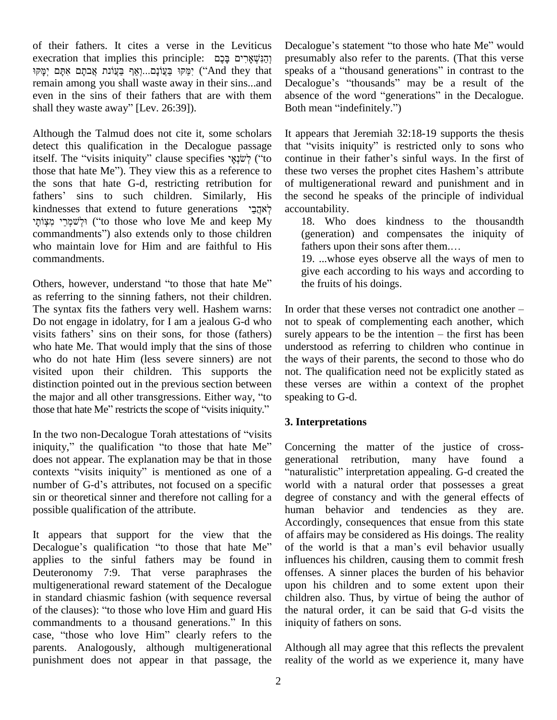of their fathers. It cites a verse in the Leviticus Dec execration that implies this principle: רְהַנִּשָׁאֵרִים בַּכֵם ימֹקוּ בּעֲוֹנִם...וָאף בּעֲוֹנִת אֲבתם אתם יִמֹּקוּ יִמֹּקוּ בּעֲוֹנִת יִ remain among you shall waste away in their sins...and Decale<br>
even in the sins of their fathers that are with them absence<br>
shall they waste away" [Lev. 26:39]). Both r even in the sins of their fathers that are with them

Although the Talmud does not cite it, some scholars detect this qualification in the Decalogue passage itself. The Talmud does not cite it, some scholars It app<br>detect this qualification in the Decalogue passage that "<br>itself. The "visits iniquity" clause specifies "("to contin detect this qualification in the Decalogue passage that "<br>itself. The "visits iniquity" clause specifies "itself" ("to continuous those that hate Me"). They view this as a reference to these the sons that hate G-d, restricting retribution for those that hate Me"). They view this as a reference to thes<br>the sons that hate G-d, restricting retribution for of r<br>fathers' sins to such children. Similarly, His the the sons that hate G-d, restricting retribution for of fathers' sins to such children. Similarly, His the kindnesses that extend to future generations  $\gamma_{\overline{2}|\overline{2}|}$  acc fathe kindnesses that extend to future generations לְאהֲכַי מִצְוֹתַי (''to those who love Me and keep My commandments") also extends only to those children who maintain love for Him and are faithful to His fathers upon their sons after them.... commandments.

Others, however, understand "to those that hate Me" as referring to the sinning fathers, not their children. The syntax fits the fathers very well. Hashem warns: Do not engage in idolatry, for I am a jealous G-d who visits fathers' sins on their sons, for those (fathers) who hate Me. That would imply that the sins of those who do not hate Him (less severe sinners) are not visited upon their children. This supports the distinction pointed out in the previous section between visited upon their children. This supports the not. T<br>distinction pointed out in the previous section between these<br>the major and all other transgressions. Either way, "to speaki distinction pointed out in the previous section between these<br>the major and all other transgressions. Either way, "to spear<br>those that hate Me" restricts the scope of "visits iniquity." those that hate Me" restricts the scope of "visits iniquity."<br>In the two non-Decalogue Torah attestations of "visits"

iniquity," the qualification "to those that hate Me" does not appear. The explanation may be that in those iniquity," the qualification "to those that hate Me" Conc<br>does not appear. The explanation may be that in those gener<br>contexts "visits iniquity" is mentioned as one of a "natu does not appear. The explanation may be that in those gener contexts "visits iniquity" is mentioned as one of a "nature number of G-d's attributes, not focused on a specific work sin or theoretical sinner and therefore not calling for a possible qualification of the attribute.

It appears that support for the view that the of aff Acco<br>It appears that support for the view that the of-aff<br>Decalogue's qualification "to those that hate Me" of th applies to the sinful fathers may be found in Deuteronomy 7:9. That verse paraphrases the multigenerational reward statement of the Decalogue upon<br>in standard chiasmic fashion (with sequence reversal child<br>of the clauses): "to those who love Him and guard His the n in standard chiasmic fashion (with sequence reversal of the clauses): "to those who love Him and guard His commandments to a thousand generations." In this case, "those who love Him" clearly refers to the parents. Analogously, although multigenerational punishment does not appear in that passage, the

Decalogue's statement "to those who hate Me" would presumably also refer to the parents. (That this verse Decalogue's statement "to those who hate Me" would<br>presumably also refer to the parents. (That this verse<br>speaks of a "thousand generations" in contrast to the presumably also refer to the parents. (That this verse<br>speaks of a "thousand generations" in contrast to the<br>Decalogue's "thousands" may be a result of the speaks of a "thousand generations" in contrast to the Decalogue's "thousands" may be a result of the absence of the word "generations" in the Decalogue. Decalogue's "thousands" may be a result of the absence of the word "generations" in the Decalogue.<br>Both mean "indefinitely.")

It appears that Jeremiah 32:18-19 supports the thesis It appears that Jeremiah 32:18-19 supports the thesis<br>that "visits iniquity" is restricted only to sons who It appears that Jeremiah 32:18-19 supports the thesis that "visits iniquity" is restricted only to sons who continue in their father's sinful ways. In the first of that "visits iniquity" is restricted only to sons who continue in their father's sinful ways. In the first of these two verses the prophet cites Hashem's attribute of multigenerational reward and punishment and in the second he speaks of the principle of individual accountability.

18. Who does kindness to the thousandth (generation) and compensates the iniquity of fathers upon their sons after them.... (generation) and compensates the iniquity of

19. ...whose eyes observe all the ways of men to give each according to his ways and according to the fruits of his doings.

In order that these verses not contradict one another  $-\frac{1}{2}$ not to speak of complementing each another, which surely appears to be the intention  $-$  the first has been understood as referring to children who continue in the ways of their parents, the second to those who do not. The qualification need not be explicitly stated as these verses are within a context of the prophet speaking to G-d.

### **3. Interpretations**

Concerning the matter of the justice of crossgenerational retribution, many have found a Noncerning the matter of the justice of cross-<br>enerational retribution, many have found a<br>naturalistic" interpretation appealing. G-d created the world with a natural order that possesses a great degree of constancy and with the general effects of human behavior and tendencies as they are. Accordingly, consequences that ensue from this state of affairs may be considered as His doings. The reality of the world is that a man's evil behavior usually of affairs may be considered as His doings. The reality influences his children, causing them to commit fresh offenses. A sinner places the burden of his behavior upon his children and to some extent upon their children also. Thus, by virtue of being the author of the natural order, it can be said that G-d visits the iniquity of fathers on sons.

Although all may agree that this reflects the prevalent reality of the world as we experience it, many have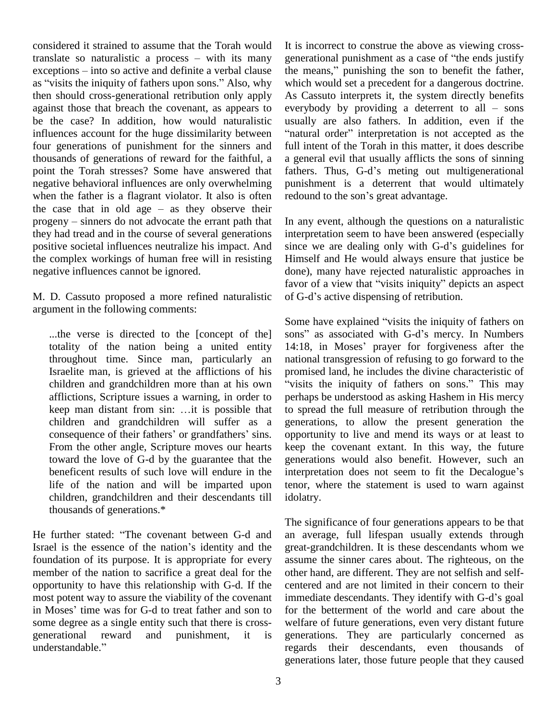considered it strained to assume that the Torah would translate so naturalistic a process  $-$  with its many considered it strained to assume that the Torah would It is it translate so naturalistic a process – with its many generate exceptions – into so active and definite a verbal clause the n translate so naturalistic a process – with its many general exceptions – into so active and definite a verbal clause the m as "visits the iniquity of fathers upon sons." Also, why which then should cross-generational retribution only apply against those that breach the covenant, as appears to be the case? In addition, how would naturalistic influences account for the huge dissimilarity between "natural order" interpretation is not accepted as the four generations of punishment for the sinners and thousands of generations of reward for the faithful, a point the Torah stresses? Some have answered that negative behavioral influences are only overwhelming punish<br>when the father is a flagrant violator. It also is often redour<br>the case that in old age – as they observe their when the father is a flagrant violator. It also is often redound to the son's great advantage. the case that in old age  $-$  as they observe their progeny  $-$  sinners do not advocate the errant path that they had tread and in the course of several generations positive societal influences neutralize his impact. And the complex workings of human free will in resisting negative influences cannot be ignored.

M. D. Cassuto proposed a more refined naturalistic of G-d's active dispensing of retribution. argument in the following comments:

throughout time. Since man, particularly an children and grandchildren more than at his own "visits<br>afflictions, Scripture issues a warning, in order to perhap<br>keep man distant from sin: ...it is possible that to spr afflictions, Scripture issues a warning, in order to children and grandchildren will suffer as a keep man distant from sin: ...it is possible that<br>children and grandchildren will suffer as a geonsequence of their fathers' or grandfathers' sins. From the other angle, Scripture moves our hearts toward the love of G-d by the guarantee that the life of the nation and will be imparted upon children, grandchildren and their descendants till thousands of generations.\*

He further stated: "The covenant between G-d and Israel is the essence of the nation's identity and the foundation of its purpose. It is appropriate for every member of the nation to sacrifice a great deal for the opportunity to have this relationship with G-d. If the center most potent way to assure the viability of the covenant immedin Moses' time was for G-d to treat father and son to for the most potent way to assure the viability of the covenant immediate descendants. They identify with G-d's goal some degree as a single entity such that there is cross generational reward and punishment, it is some degree as a single of<br>generational reward<br>understandable."

It is incorrect to construe the above as viewing cross generational punishment as a case of "the ends justify" the means," punishing the son to benefit the father, which would set a precedent for a dangerous doctrine. As Cassuto interprets it, the system directly benefits which would set a precedent for a dangerous doctrine.<br>As Cassuto interprets it, the system directly benefits<br>everybody by providing a deterrent to all – sons<br>usually are also fathers. In addition, even if the<br>"natural orde usually are also fathers. In addition, even if the full intent of the Torah in this matter, it does describe<br>a general evil that usually afflicts the sons of sinning<br>fathers. Thus, G-d's meting out multigenerational a general evil that usually afflicts the sons of sinning punishment is a deterrent that would ultimately fathers. Thus, G-d's meting out multigenerational

In any event, although the questions on a naturalistic interpretation seem to have been answered (especially since we are dealing only with G-d's guidelines for Himself and He would always ensure that justice be done), many have rejected naturalistic approaches in Himself and He would always ensure that justice be done), many have rejected naturalistic approaches in favor of a view that "visits iniquity" depicts an aspect done), many have rejected naturalistic approfavor of a view that "visits iniquity" depicts of G-d's active dispensing of retribution.

...the verse is directed to the [concept of the] sons" as associated with G-d's mercy. In Numbers totality of the nation being a united entity 14:18, in Moses' prayer for forgiveness after the Israelite man, is grieved at the afflictions of his promised land, he includes the divine characteristic of beneficent results of such love will endure in the interpretation does not seem to fit the Decalogue's of G-d's active dispensing of retribution.<br>Some have explained "visits the iniquity of fathers on Some have explained "visits the iniquity of fathers on<br>sons" as associated with G-d's mercy. In Numbers Some have explained "visits the iniquity of fathers on<br>sons" as associated with G-d's mercy. In Numbers<br>14:18, in Moses' prayer for forgiveness after the national transgression of refusing to go forward to the promised land, he includes the divine characteristic of "visits the iniquity of fathers on sons." This may perhaps be understood as asking Hashem in His mercy to spread the full measure of retribution through the generations, to allow the present generation the opportunity to live and mend its ways or at least to keep the covenant extant. In this way, the future generations would also benefit. However, such an keep the covenant extant. In this way, the future<br>generations would also benefit. However, such an<br>interpretation does not seem to fit the Decalogue's tenor, where the statement is used to warn against idolatry.

> The significance of four generations appears to be that an average, full lifespan usually extends through great-grandchildren. It is these descendants whom we assume the sinner cares about. The righteous, on the other hand, are different. They are not selfish and self centered and are not limited in their concern to their other hand, are different. They are not selfish and self-<br>centered and are not limited in their concern to their<br>immediate descendants. They identify with G-d's goal for the betterment of the world and care about the welfare of future generations, even very distant future generations. They are particularly concerned as regards their descendants, even thousands of generations later, those future people that they caused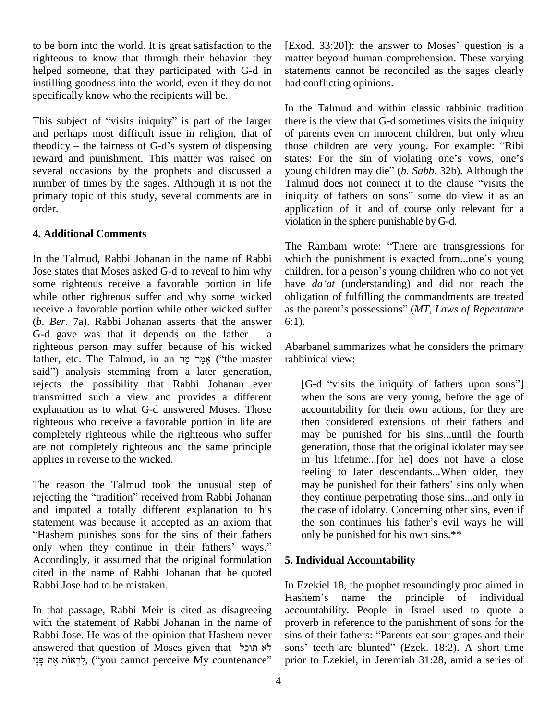to be born into the world. It is great satisfaction to the righteous to know that through their behavior they helped someone, that they participated with G-d in instilling goodness into the world, even if they do not specifically know who the recipients will be.

specifically know who the recipients will be.<br>This subject of "visits iniquity" is part of the larger the and perhaps most difficult issue in religion, that of This subject of "visits iniquity" is part of the larger there is<br>and perhaps most difficult issue in religion, that of of par<br>theodicy – the fairness of G-d's system of dispensing those reward and punishment. This matter was raised on several occasions by the prophets and discussed a young children may die" (b. Sabb. 32b). Although the number of times by the sages. Although it is not the Talmud does not connect it to the clause "visits the primary topic of this study, several comments are in order.

#### **4. Additional Comments**

In the Talmud, Rabbi Johanan in the name of Rabbi Jose states that Moses asked G-d to reveal to him why children, for a person's young children who do not yet some righteous receive a favorable portion in life have *da'at* (understanding) and did not reach the while other righteous suffer and why some wicked receive a favorable portion while other wicked suffer as the  $(b. Ber. 7a)$ . Rabbi Johanan asserts that the answer 6:1).<br>G-d gave was that it depends on the father  $- a$ (*b. Ber*. 7a). Rabbi Johanan asserts that the answer righteous person may suffer because of his wicked G-d gave was that it depends on the father – a<br>righteous person may suffer because of his wicked Ab<br>father, etc. The Talmud, in an מְמֵר מֵר (iithe master rab righteous person may suffer because of his wicked A<br>father, etc. The Talmud, in an אֲמֵר מֵר ("the master rasaid") analysis stemming from a later generation, rejects the possibility that Rabbi Johanan ever transmitted such a view and provides a different explanation as to what G-d answered Moses. Those righteous who receive a favorable portion in life are completely righteous while the righteous who suffer are not completely righteous and the same principle applies in reverse to the wicked.

The reason the Talmud took the unusual step of fee<br>The reason the Talmud took the unusual step of mare<br>interval tradition" received from Rabbi Johanan the and imputed a totally different explanation to his the statement was because it accepted as an axiom that the Hashem punishes sons for the sins of their fathers statement was because it accepted as an axiom that the son continues his father's evil ways he will<br>
"Hashem punishes sons for the sins of their fathers" only be punished for his own sins.\*\*<br>
only when they continue in the Accordingly, it assumed that the original formulation cited in the name of Rabbi Johanan that he quoted Rabbi Jose had to be mistaken.

In that passage, Rabbi Meir is cited as disagreeing with the statement of Rabbi Johanan in the name of Rabbi Jose. He was of the opinion that Hashem never sins answered that question of Moses given that Hashem never sins of the opinion that Hashem never sins on sins answered that question of Moses given that  $\frac{1}{2}$   $\frac{1}{2}$   $\frac{1}{2}$   $\frac{1}{2}$   $\frac{1}{2}$  sons bbi Jose. He was of the opinion that Hashem never sins of wered that question of Moses given that  $\frac{1}{2}$  ons' sons' sons' ( $\frac{1}{2}$ ,  $\frac{1}{2}$ ,  $\frac{1}{2}$ ,  $\frac{1}{2}$ ,  $\frac{1}{2}$ ,  $\frac{1}{2}$ ,  $\frac{1}{2}$ ,  $\frac{1}{2}$ ,  $\frac{1}{2$ 

 $[Exod. 33:20]$ : the answer to Moses' question is a matter beyond human comprehension. These varying statements cannot be reconciled as the sages clearly had conflicting opinions.

In the Talmud and within classic rabbinic tradition there is the view that G-d sometimes visits the iniquity of parents even on innocent children, but only when there is the view that G-d sometimes visits the iniquity<br>of parents even on innocent children, but only when<br>those children are very young. For example: "Ribi of parents even on innocent children, but only when<br>those children are very young. For example: "Ribi<br>states: For the sin of violating one's vows, one's those children are very young. For example: "Ribi<br>states: For the sin of violating one's vows, one's<br>young children may die" (*b. Sabb.* 32b). Although the states: For the sin of violating one's vows, one's<br>young children may die" (*b. Sabb.* 32b). Although the<br>Talmud does not connect it to the clause "visits the iniquity of fathers on sons" some do view it as an application of it and of course only relevant for a violation in the sphere punishable by G-d.<br>The Rambam wrote: "There are transgressions for

The Rambam wrote: "There are transgressions for<br>which the punishment is exacted from...one's young The Rambam wrote: "There are transgressions for which the punishment is exacted from...one's young children, for a person's young children who do not yet which the punishment is exacted from...one's young<br>children, for a person's young children who do not yet<br>have *da'at* (understanding) and did not reach the obligation of fulfilling the commandments are treated as the parent's possessions" (MT, Laws of Repentance 6:1).

Abarbanel summarizes what he considers the primary rabbinical view:

[G-d "visits the iniquity of fathers upon sons"] when the sons are very young, before the age of accountability for their own actions, for they are then considered extensions of their fathers and may be punished for his sins...until the fourth generation, those that the original idolater may see in his lifetime...[for he] does not have a close feeling to later descendants...When older, they may be punished for their fathers' sins only when they continue perpetrating those sins...and only in<br>the case of idolatry. Concerning other sins, even if<br>the son continues his father's evil ways he will the case of idolatry. Concerning other sins, even if only be punished for his own sins.\*\*

### **5. Individual Accountability**

In Ezekiel 18, the prophet resoundingly proclaimed in In Ezekiel 18, the prophet resoundingly proclaimed in<br>Hashem's name the principle of individual accountability. People in Israel used to quote a<br>proverb in reference to the punishment of sons for the<br>sins of their fathers: "Parents eat sour grapes and their proverb in reference to the punishment of sons for the sins of their fathers: "Parents eat sour grapes and their sons' teeth are blunted" (Ezek. 18:2). A short time prior to Ezekiel, in Jeremiah 31:28, amid a series of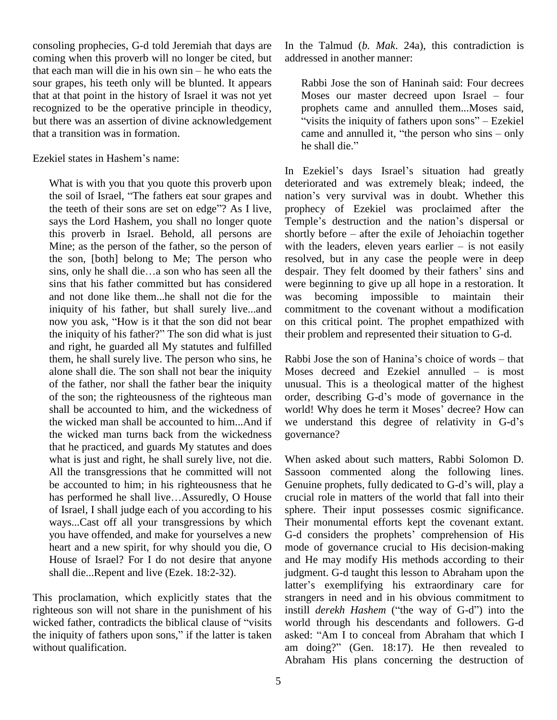consoling prophecies, G-d told Jeremiah that days are coming when this proverb will no longer be cited, but that each man will die in his own  $sin - he$  who eats the sour grapes, his teeth only will be blunted. It appears that at that point in the history of Israel it was not yet recognized to be the operative principle in theodicy, but there was an assertion of divine acknowledgement that a transition was in formation.<br>Ezekiel states in Hashem's name:

What is with you that you quote this proverb upon In Ez<br>What is with you that you quote this proverb upon deterior<br>the soil of Israel, "The fathers eat sour grapes and nation What is with you that you quote this proverb upon<br>the soil of Israel, "The fathers eat sour grapes and<br>the teeth of their sons are set on edge"? As I live, says the Lord Hashem, you shall no longer quote the son, [both] belong to Me; The person who Mine; as the person of the father, so the person of with<br>the son, [both] belong to Me; The person who resolves ins, only he shall die...a son who has seen all the despa sins that his father committed but has considered and not done like them...he shall not die for the iniquity of his father, but shall surely live...and comm and not done like them...he shall not die for the was<br>iniquity of his father, but shall surely live...and cor<br>now you ask, "How is it that the son did not bear on iniquity of his father, but shall surely live...and console when iniquity of his father?" The son did what is just the and right, he guarded all My statutes and fulfilled alone shall die. The son shall not bear the iniquity of the father, nor shall the father bear the iniquity of the son; the righteousness of the righteous man the wicked man turns back from the wickedness that he practiced, and guards My statutes and does what is just and right, he shall surely live, not die. All the transgressions that he committed will not be accounted to him; in his righteousness that he has performed he shall live...Assuredly, O House of Israel, I shall judge each of you according to his ways...Cast off all your transgressions by which heart and a new spirit, for why should you die, O House of Israel? For I do not desire that anyone shall die...Repent and live (Ezek. 18:2-32).

This proclamation, which explicitly states that the righteous son will not share in the punishment of his This proclamation, which explicitly states that the strare righteous son will not share in the punishment of his institucked father, contradicts the biblical clause of "visits worles righteous son will not share in the punishment of his instill<br>wicked father, contradicts the biblical clause of "visits world<br>the iniquity of fathers upon sons," if the latter is taken asked: without qualification.

In the Talmud (*b. Mak*. 24a), this contradiction is addressed in another manner:

Rabbi Jose the son of Haninah said: Four decrees Moses our master decreed upon Israel  $-$  four Moses our master decreed upon Israel – four<br>prophets came and annulled them...Moses said,<br>"visits the iniquity of fathers upon sons" – Ezekiel prophets came and annulled them...Moses said,<br>"visits the iniquity of fathers upon sons" – Ezekiel<br>came and annulled it, "the person who sins – only "visits the iniquity of fathers upon sons"  $-$  Ezekiel came and annulled it, "the person who sins  $-$  only he shall die."

this proverb in Israel. Behold, all persons are shortly before – after the exile of Jehoiachin together Mine; as the person of the father, so the person of with the leaders, eleven years earlier  $-$  is not easily In Ezekiel's days Israel's situation had greatly deteriorated and was extremely bleak; indeed, the In Ezekiel's days Israel's situation had greatly<br>deteriorated and was extremely bleak; indeed, the<br>nation's very survival was in doubt. Whether this prophecy of Ezekiel was proclaimed after the nation's very survival was in doubt. Whether this<br>prophecy of Ezekiel was proclaimed after the<br>Temple's destruction and the nation's dispersal or prophecy of Ezekiel was proclaimed after the<br>Temple's destruction and the nation's dispersal or<br>shortly before – after the exile of Jehoiachin together Temple's destruction and the nation's dispersal or shortly before – after the exile of Jehoiachin together with the leaders, eleven years earlier – is not easily resolved, but in any case the people were in deep despair. They felt doomed by their fathers' sins and were beginning to give up all hope in a restoration. It becoming impossible to maintain their commitment to the covenant without a modification on this critical point. The prophet empathized with their problem and represented their situation to G-d.<br>Rabbi Jose the son of Hanina's choice of words – that

them, he shall surely live. The person who sins, he Rabbi Jose the son of Hanina's choice of words – that shall be accounted to him, and the wickedness of world! Why does he term it Moses' decree? How can the wicked man shall be accounted to him...And if we understand this degree of relativity in G-d's Moses decreed and Ezekiel annulled  $-$  is most unusual. This is a theological matter of the highest Moses decreed and Ezekiel annulled  $-$  is most<br>unusual. This is a theological matter of the highest<br>order, describing G-d's mode of governance in the unusual. This is a theological matter of the highest<br>order, describing G-d's mode of governance in the<br>world! Why does he term it Moses' decree? How can order, describing G-d's mode of governance in the world! Why does he term it Moses' decree? How can we understand this degree of relativity in G-d's governance?

you have offended, and make for yourselves a new G-d considers the prophets' comprehension of His When asked about such matters, Rabbi Solomon D. Sassoon commented along the following lines. Genuine prophets, fully dedicated to G-d's will, play a crucial role in matters of the world that fall into their sphere. Their input possesses cosmic significance.<br>Their monumental efforts kept the covenant extant.<br>G-d considers the prophets' comprehension of His Their monumental efforts kept the covenant extant. mode of governance crucial to His decision-making and He may modify His methods according to their judgment. G-d taught this lesson to Abraham upon the and He may modify His methods according to their<br>judgment. G-d taught this lesson to Abraham upon the<br>latter's exemplifying his extraordinary care for strangers in need and in his obvious commitment to latter's exemplifying his extraordinary care for strangers in need and in his obvious commitment to instill *derekh Hashem* ("the way of G-d") into the world through his descendants and followers. G-d instill *derekh Hashem* ("the way of G-d") into the world through his descendants and followers. G-d asked: "Am I to conceal from Abraham that which I am doing?" (Gen.  $18:17$ ). He then revealed to Abraham His plans concerning the destruction of